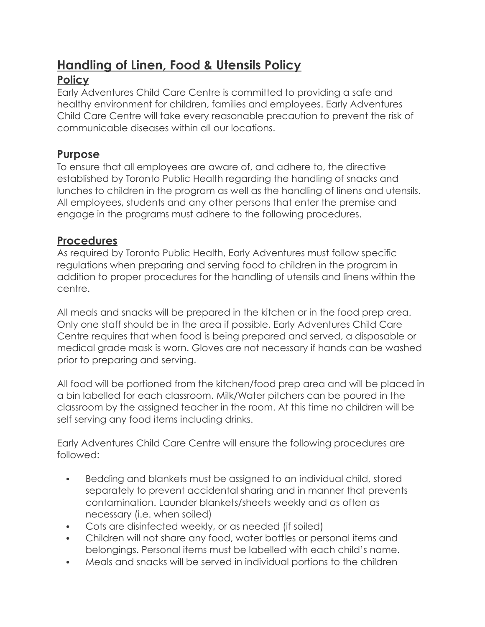# **Handling of Linen, Food & Utensils Policy**

# **Policy**

Early Adventures Child Care Centre is committed to providing a safe and healthy environment for children, families and employees. Early Adventures Child Care Centre will take every reasonable precaution to prevent the risk of communicable diseases within all our locations.

### **Purpose**

To ensure that all employees are aware of, and adhere to, the directive established by Toronto Public Health regarding the handling of snacks and lunches to children in the program as well as the handling of linens and utensils. All employees, students and any other persons that enter the premise and engage in the programs must adhere to the following procedures.

## **Procedures**

As required by Toronto Public Health, Early Adventures must follow specific regulations when preparing and serving food to children in the program in addition to proper procedures for the handling of utensils and linens within the centre.

All meals and snacks will be prepared in the kitchen or in the food prep area. Only one staff should be in the area if possible. Early Adventures Child Care Centre requires that when food is being prepared and served, a disposable or medical grade mask is worn. Gloves are not necessary if hands can be washed prior to preparing and serving.

All food will be portioned from the kitchen/food prep area and will be placed in a bin labelled for each classroom. Milk/Water pitchers can be poured in the classroom by the assigned teacher in the room. At this time no children will be self serving any food items including drinks.

Early Adventures Child Care Centre will ensure the following procedures are followed:

- Bedding and blankets must be assigned to an individual child, stored separately to prevent accidental sharing and in manner that prevents contamination. Launder blankets/sheets weekly and as often as necessary (i.e. when soiled)
- Cots are disinfected weekly, or as needed (if soiled)
- Children will not share any food, water bottles or personal items and belongings. Personal items must be labelled with each child's name.
- Meals and snacks will be served in individual portions to the children